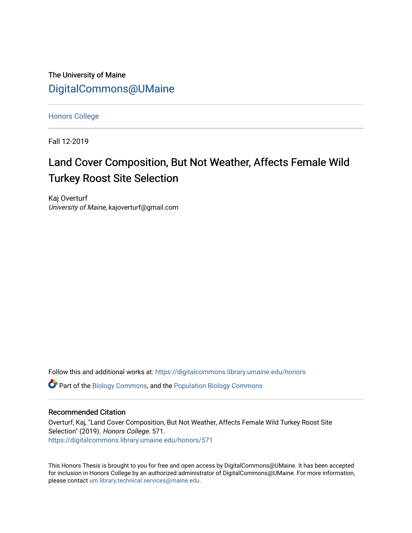The University of Maine [DigitalCommons@UMaine](https://digitalcommons.library.umaine.edu/)

[Honors College](https://digitalcommons.library.umaine.edu/honors)

Fall 12-2019

# Land Cover Composition, But Not Weather, Affects Female Wild Turkey Roost Site Selection

Kaj Overturf University of Maine, kajoverturf@gmail.com

Follow this and additional works at: [https://digitalcommons.library.umaine.edu/honors](https://digitalcommons.library.umaine.edu/honors?utm_source=digitalcommons.library.umaine.edu%2Fhonors%2F571&utm_medium=PDF&utm_campaign=PDFCoverPages) 

 $\bullet$  Part of the [Biology Commons,](http://network.bepress.com/hgg/discipline/41?utm_source=digitalcommons.library.umaine.edu%2Fhonors%2F571&utm_medium=PDF&utm_campaign=PDFCoverPages) and the [Population Biology Commons](http://network.bepress.com/hgg/discipline/19?utm_source=digitalcommons.library.umaine.edu%2Fhonors%2F571&utm_medium=PDF&utm_campaign=PDFCoverPages)

#### Recommended Citation

Overturf, Kaj, "Land Cover Composition, But Not Weather, Affects Female Wild Turkey Roost Site Selection" (2019). Honors College. 571. [https://digitalcommons.library.umaine.edu/honors/571](https://digitalcommons.library.umaine.edu/honors/571?utm_source=digitalcommons.library.umaine.edu%2Fhonors%2F571&utm_medium=PDF&utm_campaign=PDFCoverPages) 

This Honors Thesis is brought to you for free and open access by DigitalCommons@UMaine. It has been accepted for inclusion in Honors College by an authorized administrator of DigitalCommons@UMaine. For more information, please contact [um.library.technical.services@maine.edu.](mailto:um.library.technical.services@maine.edu)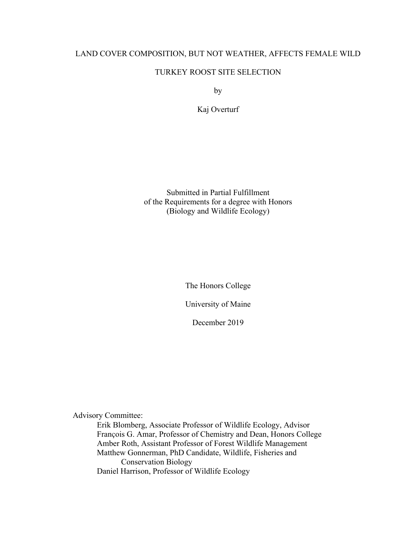# LAND COVER COMPOSITION, BUT NOT WEATHER, AFFECTS FEMALE WILD

# TURKEY ROOST SITE SELECTION

by

Kaj Overturf

Submitted in Partial Fulfillment of the Requirements for a degree with Honors (Biology and Wildlife Ecology)

The Honors College

University of Maine

December 2019

Advisory Committee:

Erik Blomberg, Associate Professor of Wildlife Ecology, Advisor François G. Amar, Professor of Chemistry and Dean, Honors College Amber Roth, Assistant Professor of Forest Wildlife Management Matthew Gonnerman, PhD Candidate, Wildlife, Fisheries and Conservation Biology Daniel Harrison, Professor of Wildlife Ecology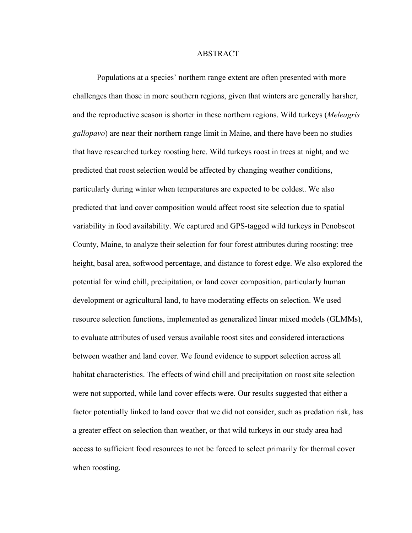#### **ABSTRACT**

Populations at a species' northern range extent are often presented with more challenges than those in more southern regions, given that winters are generally harsher, and the reproductive season is shorter in these northern regions. Wild turkeys (*Meleagris gallopavo*) are near their northern range limit in Maine, and there have been no studies that have researched turkey roosting here. Wild turkeys roost in trees at night, and we predicted that roost selection would be affected by changing weather conditions, particularly during winter when temperatures are expected to be coldest. We also predicted that land cover composition would affect roost site selection due to spatial variability in food availability. We captured and GPS-tagged wild turkeys in Penobscot County, Maine, to analyze their selection for four forest attributes during roosting: tree height, basal area, softwood percentage, and distance to forest edge. We also explored the potential for wind chill, precipitation, or land cover composition, particularly human development or agricultural land, to have moderating effects on selection. We used resource selection functions, implemented as generalized linear mixed models (GLMMs), to evaluate attributes of used versus available roost sites and considered interactions between weather and land cover. We found evidence to support selection across all habitat characteristics. The effects of wind chill and precipitation on roost site selection were not supported, while land cover effects were. Our results suggested that either a factor potentially linked to land cover that we did not consider, such as predation risk, has a greater effect on selection than weather, or that wild turkeys in our study area had access to sufficient food resources to not be forced to select primarily for thermal cover when roosting.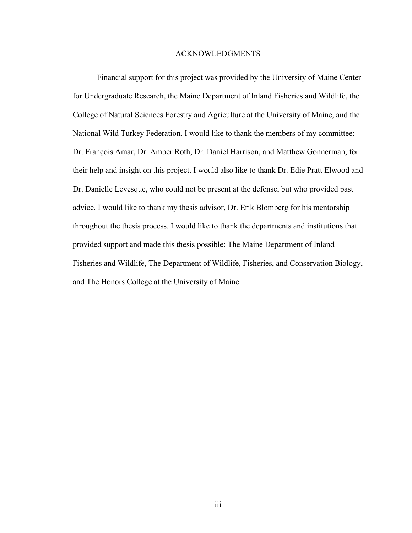#### ACKNOWLEDGMENTS

Financial support for this project was provided by the University of Maine Center for Undergraduate Research, the Maine Department of Inland Fisheries and Wildlife, the College of Natural Sciences Forestry and Agriculture at the University of Maine, and the National Wild Turkey Federation. I would like to thank the members of my committee: Dr. François Amar, Dr. Amber Roth, Dr. Daniel Harrison, and Matthew Gonnerman, for their help and insight on this project. I would also like to thank Dr. Edie Pratt Elwood and Dr. Danielle Levesque, who could not be present at the defense, but who provided past advice. I would like to thank my thesis advisor, Dr. Erik Blomberg for his mentorship throughout the thesis process. I would like to thank the departments and institutions that provided support and made this thesis possible: The Maine Department of Inland Fisheries and Wildlife, The Department of Wildlife, Fisheries, and Conservation Biology, and The Honors College at the University of Maine.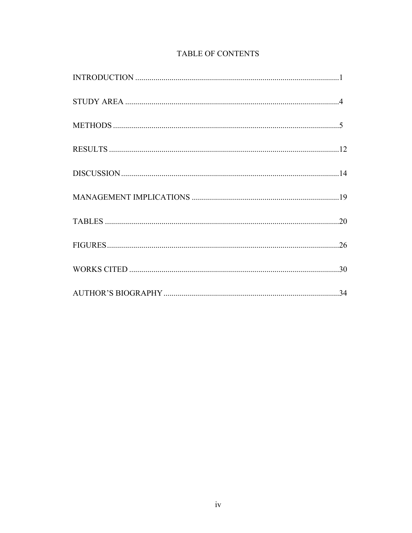# TABLE OF CONTENTS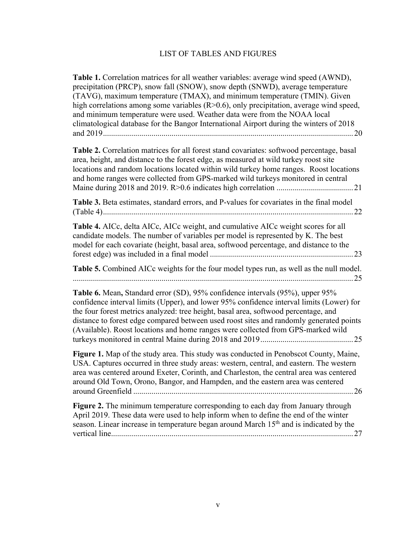# LIST OF TABLES AND FIGURES

**Table 1.** Correlation matrices for all weather variables: average wind speed (AWND), precipitation (PRCP), snow fall (SNOW), snow depth (SNWD), average temperature (TAVG), maximum temperature (TMAX), and minimum temperature (TMIN). Given high correlations among some variables  $(R>0.6)$ , only precipitation, average wind speed, and minimum temperature were used. Weather data were from the NOAA local climatological database for the Bangor International Airport during the winters of 2018 and 2019............................................................................................................................20 **Table 2.** Correlation matrices for all forest stand covariates: softwood percentage, basal area, height, and distance to the forest edge, as measured at wild turkey roost site locations and random locations located within wild turkey home ranges. Roost locations and home ranges were collected from GPS-marked wild turkeys monitored in central Maine during 2018 and 2019. R>0.6 indicates high correlation ......................................21 **Table 3.** Beta estimates, standard errors, and P-values for covariates in the final model (Table 4)............................................................................................................................22 **Table 4.** AICc, delta AICc, AICc weight, and cumulative AICc weight scores for all candidate models. The number of variables per model is represented by K. The best model for each covariate (height, basal area, softwood percentage, and distance to the forest edge) was included in a final model .......................................................................23 **Table 5.** Combined AICc weights for the four model types run, as well as the null model. ...........................................................................................................................................25 **Table 6.** Mean**,** Standard error (SD), 95% confidence intervals (95%), upper 95% confidence interval limits (Upper), and lower 95% confidence interval limits (Lower) for the four forest metrics analyzed: tree height, basal area, softwood percentage, and distance to forest edge compared between used roost sites and randomly generated points (Available). Roost locations and home ranges were collected from GPS-marked wild turkeys monitored in central Maine during 2018 and 2019..............................................25 **Figure 1.** Map of the study area. This study was conducted in Penobscot County, Maine, USA. Captures occurred in three study areas: western, central, and eastern. The western area was centered around Exeter, Corinth, and Charleston, the central area was centered around Old Town, Orono, Bangor, and Hampden, and the eastern area was centered around Greenfield .............................................................................................................26 **Figure 2.** The minimum temperature corresponding to each day from January through April 2019. These data were used to help inform when to define the end of the winter season. Linear increase in temperature began around March 15<sup>th</sup> and is indicated by the vertical line........................................................................................................................27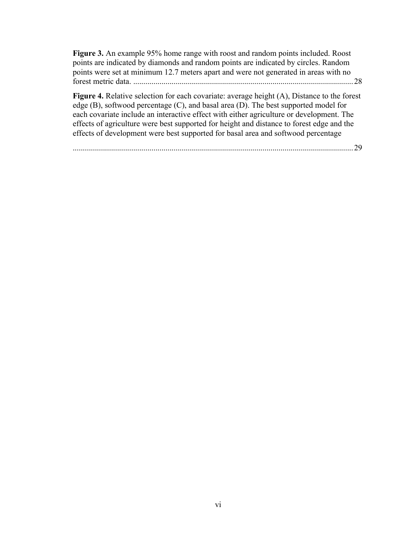**Figure 3.** An example 95% home range with roost and random points included. Roost points are indicated by diamonds and random points are indicated by circles. Random points were set at minimum 12.7 meters apart and were not generated in areas with no forest metric data. .............................................................................................................28

**Figure 4.** Relative selection for each covariate: average height (A), Distance to the forest edge (B), softwood percentage (C), and basal area (D). The best supported model for each covariate include an interactive effect with either agriculture or development. The effects of agriculture were best supported for height and distance to forest edge and the effects of development were best supported for basal area and softwood percentage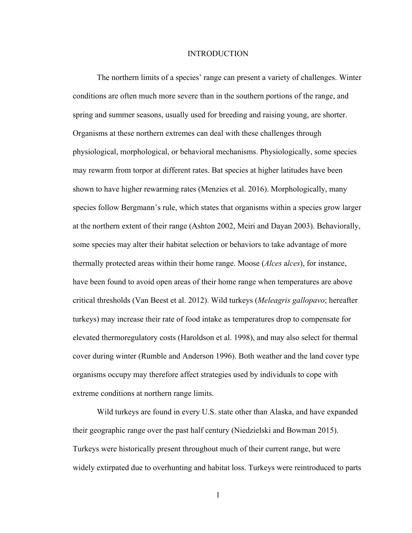#### **INTRODUCTION**

The northern limits of a species' range can present a variety of challenges. Winter conditions are often much more severe than in the southern portions of the range, and spring and summer seasons, usually used for breeding and raising young, are shorter. Organisms at these northern extremes can deal with these challenges through physiological, morphological, or behavioral mechanisms. Physiologically, some species may rewarm from torpor at different rates. Bat species at higher latitudes have been shown to have higher rewarming rates (Menzies et al. 2016). Morphologically, many species follow Bergmann's rule, which states that organisms within a species grow larger at the northern extent of their range (Ashton 2002, Meiri and Dayan 2003). Behaviorally, some species may alter their habitat selection or behaviors to take advantage of more thermally protected areas within their home range. Moose (*Alces* a*lces*), for instance, have been found to avoid open areas of their home range when temperatures are above critical thresholds (Van Beest et al. 2012). Wild turkeys (*Meleagris gallopavo*; hereafter turkeys) may increase their rate of food intake as temperatures drop to compensate for elevated thermoregulatory costs (Haroldson et al. 1998), and may also select for thermal cover during winter (Rumble and Anderson 1996). Both weather and the land cover type organisms occupy may therefore affect strategies used by individuals to cope with extreme conditions at northern range limits.

Wild turkeys are found in every U.S. state other than Alaska, and have expanded their geographic range over the past half century (Niedzielski and Bowman 2015). Turkeys were historically present throughout much of their current range, but were widely extirpated due to overhunting and habitat loss. Turkeys were reintroduced to parts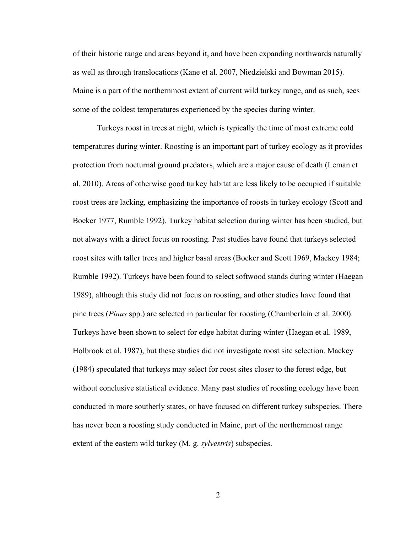of their historic range and areas beyond it, and have been expanding northwards naturally as well as through translocations (Kane et al. 2007, Niedzielski and Bowman 2015). Maine is a part of the northernmost extent of current wild turkey range, and as such, sees some of the coldest temperatures experienced by the species during winter.

Turkeys roost in trees at night, which is typically the time of most extreme cold temperatures during winter. Roosting is an important part of turkey ecology as it provides protection from nocturnal ground predators, which are a major cause of death (Leman et al. 2010). Areas of otherwise good turkey habitat are less likely to be occupied if suitable roost trees are lacking, emphasizing the importance of roosts in turkey ecology (Scott and Boeker 1977, Rumble 1992). Turkey habitat selection during winter has been studied, but not always with a direct focus on roosting. Past studies have found that turkeys selected roost sites with taller trees and higher basal areas (Boeker and Scott 1969, Mackey 1984; Rumble 1992). Turkeys have been found to select softwood stands during winter (Haegan 1989), although this study did not focus on roosting, and other studies have found that pine trees (*Pinus* spp.) are selected in particular for roosting (Chamberlain et al. 2000). Turkeys have been shown to select for edge habitat during winter (Haegan et al. 1989, Holbrook et al. 1987), but these studies did not investigate roost site selection. Mackey (1984) speculated that turkeys may select for roost sites closer to the forest edge, but without conclusive statistical evidence. Many past studies of roosting ecology have been conducted in more southerly states, or have focused on different turkey subspecies. There has never been a roosting study conducted in Maine, part of the northernmost range extent of the eastern wild turkey (M. g. *sylvestris*) subspecies.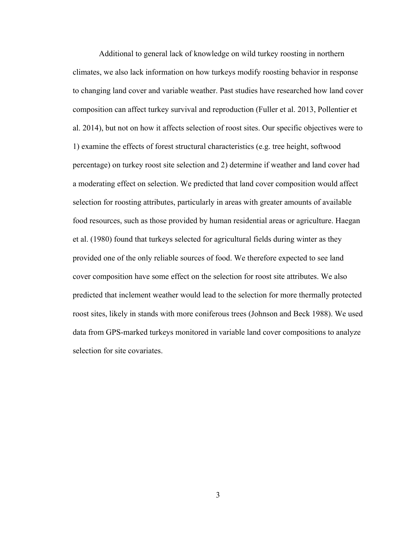Additional to general lack of knowledge on wild turkey roosting in northern climates, we also lack information on how turkeys modify roosting behavior in response to changing land cover and variable weather. Past studies have researched how land cover composition can affect turkey survival and reproduction (Fuller et al. 2013, Pollentier et al. 2014), but not on how it affects selection of roost sites. Our specific objectives were to 1) examine the effects of forest structural characteristics (e.g. tree height, softwood percentage) on turkey roost site selection and 2) determine if weather and land cover had a moderating effect on selection. We predicted that land cover composition would affect selection for roosting attributes, particularly in areas with greater amounts of available food resources, such as those provided by human residential areas or agriculture. Haegan et al. (1980) found that turkeys selected for agricultural fields during winter as they provided one of the only reliable sources of food. We therefore expected to see land cover composition have some effect on the selection for roost site attributes. We also predicted that inclement weather would lead to the selection for more thermally protected roost sites, likely in stands with more coniferous trees (Johnson and Beck 1988). We used data from GPS-marked turkeys monitored in variable land cover compositions to analyze selection for site covariates.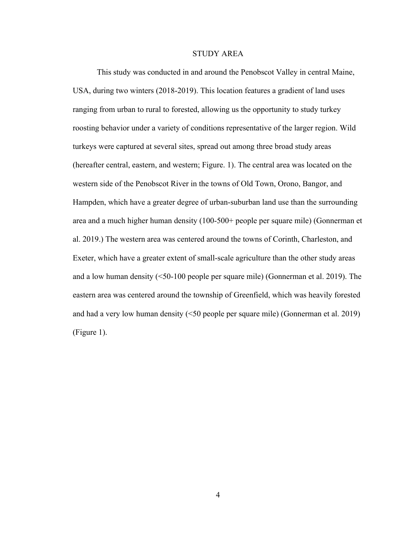#### STUDY AREA

This study was conducted in and around the Penobscot Valley in central Maine, USA, during two winters (2018-2019). This location features a gradient of land uses ranging from urban to rural to forested, allowing us the opportunity to study turkey roosting behavior under a variety of conditions representative of the larger region. Wild turkeys were captured at several sites, spread out among three broad study areas (hereafter central, eastern, and western; Figure. 1). The central area was located on the western side of the Penobscot River in the towns of Old Town, Orono, Bangor, and Hampden, which have a greater degree of urban-suburban land use than the surrounding area and a much higher human density (100-500+ people per square mile) (Gonnerman et al. 2019.) The western area was centered around the towns of Corinth, Charleston, and Exeter, which have a greater extent of small-scale agriculture than the other study areas and a low human density (<50-100 people per square mile) (Gonnerman et al. 2019). The eastern area was centered around the township of Greenfield, which was heavily forested and had a very low human density (<50 people per square mile) (Gonnerman et al. 2019) (Figure 1).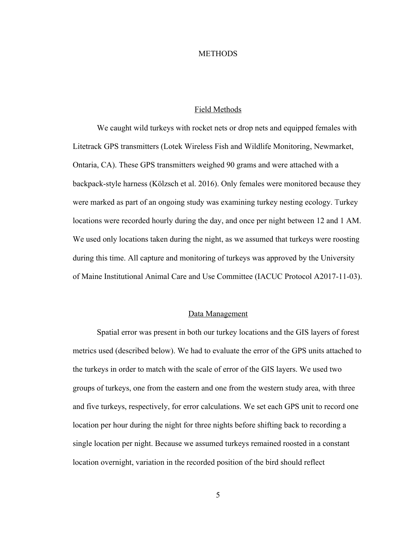#### **METHODS**

#### Field Methods

We caught wild turkeys with rocket nets or drop nets and equipped females with Litetrack GPS transmitters (Lotek Wireless Fish and Wildlife Monitoring, Newmarket, Ontaria, CA). These GPS transmitters weighed 90 grams and were attached with a backpack-style harness (Kölzsch et al. 2016). Only females were monitored because they were marked as part of an ongoing study was examining turkey nesting ecology. Turkey locations were recorded hourly during the day, and once per night between 12 and 1 AM. We used only locations taken during the night, as we assumed that turkeys were roosting during this time. All capture and monitoring of turkeys was approved by the University of Maine Institutional Animal Care and Use Committee (IACUC Protocol A2017-11-03).

#### Data Management

Spatial error was present in both our turkey locations and the GIS layers of forest metrics used (described below). We had to evaluate the error of the GPS units attached to the turkeys in order to match with the scale of error of the GIS layers. We used two groups of turkeys, one from the eastern and one from the western study area, with three and five turkeys, respectively, for error calculations. We set each GPS unit to record one location per hour during the night for three nights before shifting back to recording a single location per night. Because we assumed turkeys remained roosted in a constant location overnight, variation in the recorded position of the bird should reflect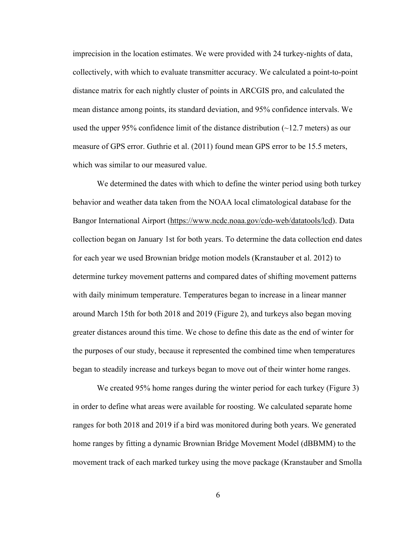imprecision in the location estimates. We were provided with 24 turkey-nights of data, collectively, with which to evaluate transmitter accuracy. We calculated a point-to-point distance matrix for each nightly cluster of points in ARCGIS pro, and calculated the mean distance among points, its standard deviation, and 95% confidence intervals. We used the upper 95% confidence limit of the distance distribution  $(-12.7 \text{ meters})$  as our measure of GPS error. Guthrie et al. (2011) found mean GPS error to be 15.5 meters, which was similar to our measured value.

We determined the dates with which to define the winter period using both turkey behavior and weather data taken from the NOAA local climatological database for the Bangor International Airport (https://www.ncdc.noaa.gov/cdo-web/datatools/lcd). Data collection began on January 1st for both years. To determine the data collection end dates for each year we used Brownian bridge motion models (Kranstauber et al. 2012) to determine turkey movement patterns and compared dates of shifting movement patterns with daily minimum temperature. Temperatures began to increase in a linear manner around March 15th for both 2018 and 2019 (Figure 2), and turkeys also began moving greater distances around this time. We chose to define this date as the end of winter for the purposes of our study, because it represented the combined time when temperatures began to steadily increase and turkeys began to move out of their winter home ranges.

We created 95% home ranges during the winter period for each turkey (Figure 3) in order to define what areas were available for roosting. We calculated separate home ranges for both 2018 and 2019 if a bird was monitored during both years. We generated home ranges by fitting a dynamic Brownian Bridge Movement Model (dBBMM) to the movement track of each marked turkey using the move package (Kranstauber and Smolla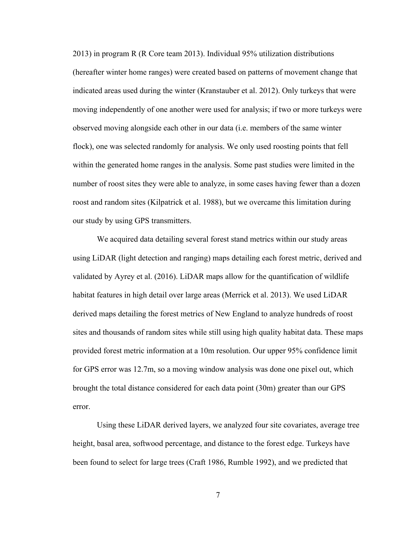2013) in program R (R Core team 2013). Individual 95% utilization distributions (hereafter winter home ranges) were created based on patterns of movement change that indicated areas used during the winter (Kranstauber et al. 2012). Only turkeys that were moving independently of one another were used for analysis; if two or more turkeys were observed moving alongside each other in our data (i.e. members of the same winter flock), one was selected randomly for analysis. We only used roosting points that fell within the generated home ranges in the analysis. Some past studies were limited in the number of roost sites they were able to analyze, in some cases having fewer than a dozen roost and random sites (Kilpatrick et al. 1988), but we overcame this limitation during our study by using GPS transmitters.

We acquired data detailing several forest stand metrics within our study areas using LiDAR (light detection and ranging) maps detailing each forest metric, derived and validated by Ayrey et al. (2016). LiDAR maps allow for the quantification of wildlife habitat features in high detail over large areas (Merrick et al. 2013). We used LiDAR derived maps detailing the forest metrics of New England to analyze hundreds of roost sites and thousands of random sites while still using high quality habitat data. These maps provided forest metric information at a 10m resolution. Our upper 95% confidence limit for GPS error was 12.7m, so a moving window analysis was done one pixel out, which brought the total distance considered for each data point (30m) greater than our GPS error.

Using these LiDAR derived layers, we analyzed four site covariates, average tree height, basal area, softwood percentage, and distance to the forest edge. Turkeys have been found to select for large trees (Craft 1986, Rumble 1992), and we predicted that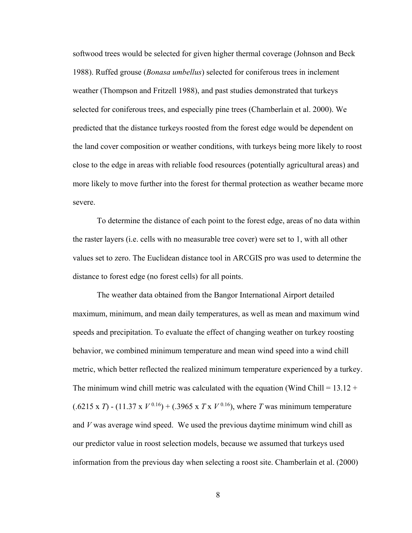softwood trees would be selected for given higher thermal coverage (Johnson and Beck 1988). Ruffed grouse (*Bonasa umbellus*) selected for coniferous trees in inclement weather (Thompson and Fritzell 1988), and past studies demonstrated that turkeys selected for coniferous trees, and especially pine trees (Chamberlain et al. 2000). We predicted that the distance turkeys roosted from the forest edge would be dependent on the land cover composition or weather conditions, with turkeys being more likely to roost close to the edge in areas with reliable food resources (potentially agricultural areas) and more likely to move further into the forest for thermal protection as weather became more severe.

To determine the distance of each point to the forest edge, areas of no data within the raster layers (i.e. cells with no measurable tree cover) were set to 1, with all other values set to zero. The Euclidean distance tool in ARCGIS pro was used to determine the distance to forest edge (no forest cells) for all points.

The weather data obtained from the Bangor International Airport detailed maximum, minimum, and mean daily temperatures, as well as mean and maximum wind speeds and precipitation. To evaluate the effect of changing weather on turkey roosting behavior, we combined minimum temperature and mean wind speed into a wind chill metric, which better reflected the realized minimum temperature experienced by a turkey. The minimum wind chill metric was calculated with the equation (Wind Chill =  $13.12 +$  $(.6215 \times T) - (11.37 \times V^{0.16}) + (.3965 \times T \times V^{0.16})$ , where *T* was minimum temperature and *V* was average wind speed. We used the previous daytime minimum wind chill as our predictor value in roost selection models, because we assumed that turkeys used information from the previous day when selecting a roost site. Chamberlain et al. (2000)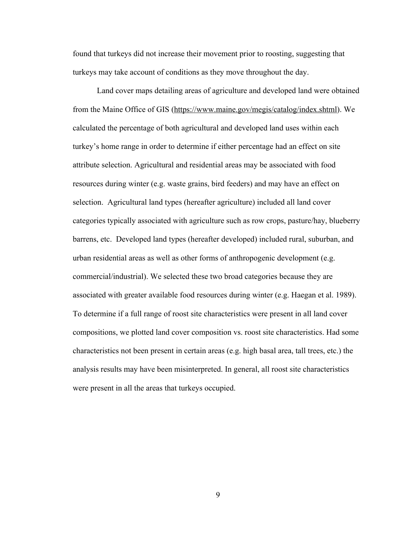found that turkeys did not increase their movement prior to roosting, suggesting that turkeys may take account of conditions as they move throughout the day.

Land cover maps detailing areas of agriculture and developed land were obtained from the Maine Office of GIS (https://www.maine.gov/megis/catalog/index.shtml). We calculated the percentage of both agricultural and developed land uses within each turkey's home range in order to determine if either percentage had an effect on site attribute selection. Agricultural and residential areas may be associated with food resources during winter (e.g. waste grains, bird feeders) and may have an effect on selection. Agricultural land types (hereafter agriculture) included all land cover categories typically associated with agriculture such as row crops, pasture/hay, blueberry barrens, etc. Developed land types (hereafter developed) included rural, suburban, and urban residential areas as well as other forms of anthropogenic development (e.g. commercial/industrial). We selected these two broad categories because they are associated with greater available food resources during winter (e.g. Haegan et al. 1989). To determine if a full range of roost site characteristics were present in all land cover compositions, we plotted land cover composition vs. roost site characteristics. Had some characteristics not been present in certain areas (e.g. high basal area, tall trees, etc.) the analysis results may have been misinterpreted. In general, all roost site characteristics were present in all the areas that turkeys occupied.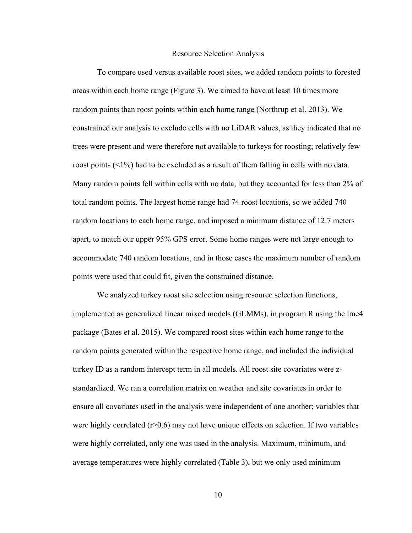#### Resource Selection Analysis

To compare used versus available roost sites, we added random points to forested areas within each home range (Figure 3). We aimed to have at least 10 times more random points than roost points within each home range (Northrup et al. 2013). We constrained our analysis to exclude cells with no LiDAR values, as they indicated that no trees were present and were therefore not available to turkeys for roosting; relatively few roost points (<1%) had to be excluded as a result of them falling in cells with no data. Many random points fell within cells with no data, but they accounted for less than 2% of total random points. The largest home range had 74 roost locations, so we added 740 random locations to each home range, and imposed a minimum distance of 12.7 meters apart, to match our upper 95% GPS error. Some home ranges were not large enough to accommodate 740 random locations, and in those cases the maximum number of random points were used that could fit, given the constrained distance.

We analyzed turkey roost site selection using resource selection functions, implemented as generalized linear mixed models (GLMMs), in program R using the lme4 package (Bates et al. 2015). We compared roost sites within each home range to the random points generated within the respective home range, and included the individual turkey ID as a random intercept term in all models. All roost site covariates were zstandardized. We ran a correlation matrix on weather and site covariates in order to ensure all covariates used in the analysis were independent of one another; variables that were highly correlated  $(r>0.6)$  may not have unique effects on selection. If two variables were highly correlated, only one was used in the analysis. Maximum, minimum, and average temperatures were highly correlated (Table 3), but we only used minimum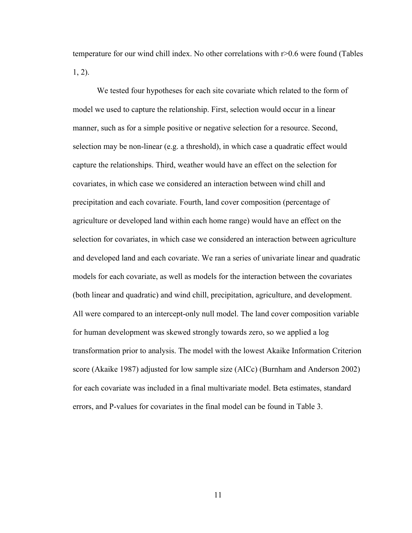temperature for our wind chill index. No other correlations with r>0.6 were found (Tables 1, 2).

We tested four hypotheses for each site covariate which related to the form of model we used to capture the relationship. First, selection would occur in a linear manner, such as for a simple positive or negative selection for a resource. Second, selection may be non-linear (e.g. a threshold), in which case a quadratic effect would capture the relationships. Third, weather would have an effect on the selection for covariates, in which case we considered an interaction between wind chill and precipitation and each covariate. Fourth, land cover composition (percentage of agriculture or developed land within each home range) would have an effect on the selection for covariates, in which case we considered an interaction between agriculture and developed land and each covariate. We ran a series of univariate linear and quadratic models for each covariate, as well as models for the interaction between the covariates (both linear and quadratic) and wind chill, precipitation, agriculture, and development. All were compared to an intercept-only null model. The land cover composition variable for human development was skewed strongly towards zero, so we applied a log transformation prior to analysis. The model with the lowest Akaike Information Criterion score (Akaike 1987) adjusted for low sample size (AICc) (Burnham and Anderson 2002) for each covariate was included in a final multivariate model. Beta estimates, standard errors, and P-values for covariates in the final model can be found in Table 3.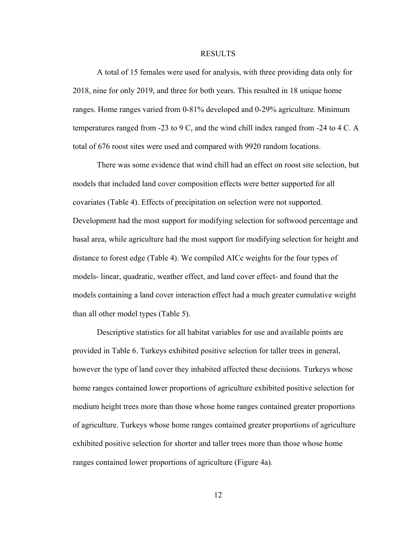#### RESULTS

A total of 15 females were used for analysis, with three providing data only for 2018, nine for only 2019, and three for both years. This resulted in 18 unique home ranges. Home ranges varied from 0-81% developed and 0-29% agriculture. Minimum temperatures ranged from -23 to 9 C, and the wind chill index ranged from -24 to 4 C. A total of 676 roost sites were used and compared with 9920 random locations.

There was some evidence that wind chill had an effect on roost site selection, but models that included land cover composition effects were better supported for all covariates (Table 4). Effects of precipitation on selection were not supported. Development had the most support for modifying selection for softwood percentage and basal area, while agriculture had the most support for modifying selection for height and distance to forest edge (Table 4). We compiled AICc weights for the four types of models- linear, quadratic, weather effect, and land cover effect- and found that the models containing a land cover interaction effect had a much greater cumulative weight than all other model types (Table 5).

Descriptive statistics for all habitat variables for use and available points are provided in Table 6. Turkeys exhibited positive selection for taller trees in general, however the type of land cover they inhabited affected these decisions. Turkeys whose home ranges contained lower proportions of agriculture exhibited positive selection for medium height trees more than those whose home ranges contained greater proportions of agriculture. Turkeys whose home ranges contained greater proportions of agriculture exhibited positive selection for shorter and taller trees more than those whose home ranges contained lower proportions of agriculture (Figure 4a).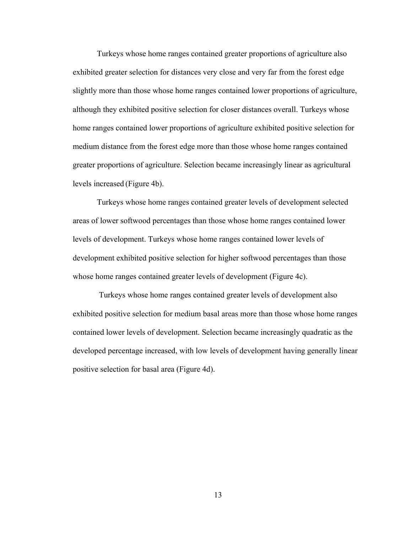Turkeys whose home ranges contained greater proportions of agriculture also exhibited greater selection for distances very close and very far from the forest edge slightly more than those whose home ranges contained lower proportions of agriculture, although they exhibited positive selection for closer distances overall. Turkeys whose home ranges contained lower proportions of agriculture exhibited positive selection for medium distance from the forest edge more than those whose home ranges contained greater proportions of agriculture. Selection became increasingly linear as agricultural levels increased (Figure 4b).

Turkeys whose home ranges contained greater levels of development selected areas of lower softwood percentages than those whose home ranges contained lower levels of development. Turkeys whose home ranges contained lower levels of development exhibited positive selection for higher softwood percentages than those whose home ranges contained greater levels of development (Figure 4c).

Turkeys whose home ranges contained greater levels of development also exhibited positive selection for medium basal areas more than those whose home ranges contained lower levels of development. Selection became increasingly quadratic as the developed percentage increased, with low levels of development having generally linear positive selection for basal area (Figure 4d).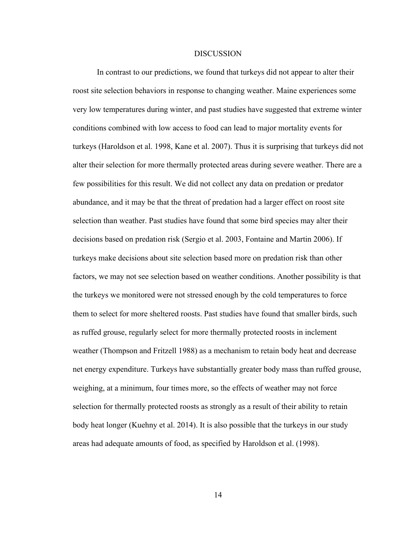#### **DISCUSSION**

In contrast to our predictions, we found that turkeys did not appear to alter their roost site selection behaviors in response to changing weather. Maine experiences some very low temperatures during winter, and past studies have suggested that extreme winter conditions combined with low access to food can lead to major mortality events for turkeys (Haroldson et al. 1998, Kane et al. 2007). Thus it is surprising that turkeys did not alter their selection for more thermally protected areas during severe weather. There are a few possibilities for this result. We did not collect any data on predation or predator abundance, and it may be that the threat of predation had a larger effect on roost site selection than weather. Past studies have found that some bird species may alter their decisions based on predation risk (Sergio et al. 2003, Fontaine and Martin 2006). If turkeys make decisions about site selection based more on predation risk than other factors, we may not see selection based on weather conditions. Another possibility is that the turkeys we monitored were not stressed enough by the cold temperatures to force them to select for more sheltered roosts. Past studies have found that smaller birds, such as ruffed grouse, regularly select for more thermally protected roosts in inclement weather (Thompson and Fritzell 1988) as a mechanism to retain body heat and decrease net energy expenditure. Turkeys have substantially greater body mass than ruffed grouse, weighing, at a minimum, four times more, so the effects of weather may not force selection for thermally protected roosts as strongly as a result of their ability to retain body heat longer (Kuehny et al. 2014). It is also possible that the turkeys in our study areas had adequate amounts of food, as specified by Haroldson et al. (1998).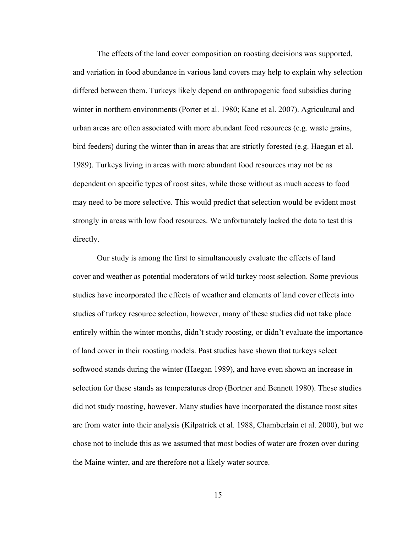The effects of the land cover composition on roosting decisions was supported, and variation in food abundance in various land covers may help to explain why selection differed between them. Turkeys likely depend on anthropogenic food subsidies during winter in northern environments (Porter et al. 1980; Kane et al. 2007). Agricultural and urban areas are often associated with more abundant food resources (e.g. waste grains, bird feeders) during the winter than in areas that are strictly forested (e.g. Haegan et al. 1989). Turkeys living in areas with more abundant food resources may not be as dependent on specific types of roost sites, while those without as much access to food may need to be more selective. This would predict that selection would be evident most strongly in areas with low food resources. We unfortunately lacked the data to test this directly.

Our study is among the first to simultaneously evaluate the effects of land cover and weather as potential moderators of wild turkey roost selection. Some previous studies have incorporated the effects of weather and elements of land cover effects into studies of turkey resource selection, however, many of these studies did not take place entirely within the winter months, didn't study roosting, or didn't evaluate the importance of land cover in their roosting models. Past studies have shown that turkeys select softwood stands during the winter (Haegan 1989), and have even shown an increase in selection for these stands as temperatures drop (Bortner and Bennett 1980). These studies did not study roosting, however. Many studies have incorporated the distance roost sites are from water into their analysis (Kilpatrick et al. 1988, Chamberlain et al. 2000), but we chose not to include this as we assumed that most bodies of water are frozen over during the Maine winter, and are therefore not a likely water source.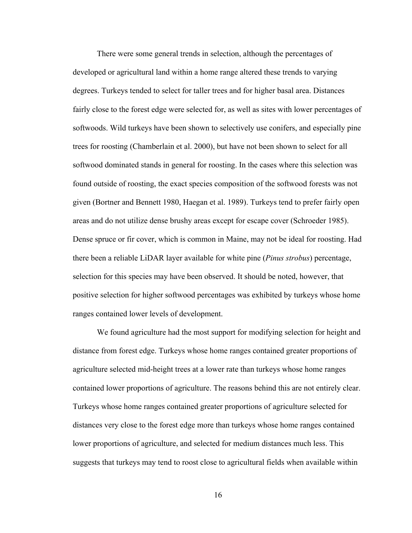There were some general trends in selection, although the percentages of developed or agricultural land within a home range altered these trends to varying degrees. Turkeys tended to select for taller trees and for higher basal area. Distances fairly close to the forest edge were selected for, as well as sites with lower percentages of softwoods. Wild turkeys have been shown to selectively use conifers, and especially pine trees for roosting (Chamberlain et al. 2000), but have not been shown to select for all softwood dominated stands in general for roosting. In the cases where this selection was found outside of roosting, the exact species composition of the softwood forests was not given (Bortner and Bennett 1980, Haegan et al. 1989). Turkeys tend to prefer fairly open areas and do not utilize dense brushy areas except for escape cover (Schroeder 1985). Dense spruce or fir cover, which is common in Maine, may not be ideal for roosting. Had there been a reliable LiDAR layer available for white pine (*Pinus strobus*) percentage, selection for this species may have been observed. It should be noted, however, that positive selection for higher softwood percentages was exhibited by turkeys whose home ranges contained lower levels of development.

We found agriculture had the most support for modifying selection for height and distance from forest edge. Turkeys whose home ranges contained greater proportions of agriculture selected mid-height trees at a lower rate than turkeys whose home ranges contained lower proportions of agriculture. The reasons behind this are not entirely clear. Turkeys whose home ranges contained greater proportions of agriculture selected for distances very close to the forest edge more than turkeys whose home ranges contained lower proportions of agriculture, and selected for medium distances much less. This suggests that turkeys may tend to roost close to agricultural fields when available within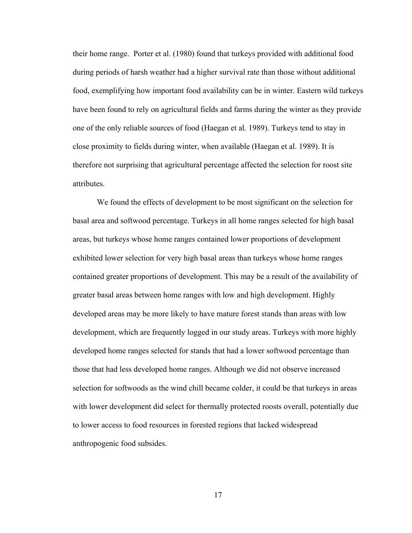their home range. Porter et al. (1980) found that turkeys provided with additional food during periods of harsh weather had a higher survival rate than those without additional food, exemplifying how important food availability can be in winter. Eastern wild turkeys have been found to rely on agricultural fields and farms during the winter as they provide one of the only reliable sources of food (Haegan et al. 1989). Turkeys tend to stay in close proximity to fields during winter, when available (Haegan et al. 1989). It is therefore not surprising that agricultural percentage affected the selection for roost site attributes.

We found the effects of development to be most significant on the selection for basal area and softwood percentage. Turkeys in all home ranges selected for high basal areas, but turkeys whose home ranges contained lower proportions of development exhibited lower selection for very high basal areas than turkeys whose home ranges contained greater proportions of development. This may be a result of the availability of greater basal areas between home ranges with low and high development. Highly developed areas may be more likely to have mature forest stands than areas with low development, which are frequently logged in our study areas. Turkeys with more highly developed home ranges selected for stands that had a lower softwood percentage than those that had less developed home ranges. Although we did not observe increased selection for softwoods as the wind chill became colder, it could be that turkeys in areas with lower development did select for thermally protected roosts overall, potentially due to lower access to food resources in forested regions that lacked widespread anthropogenic food subsides.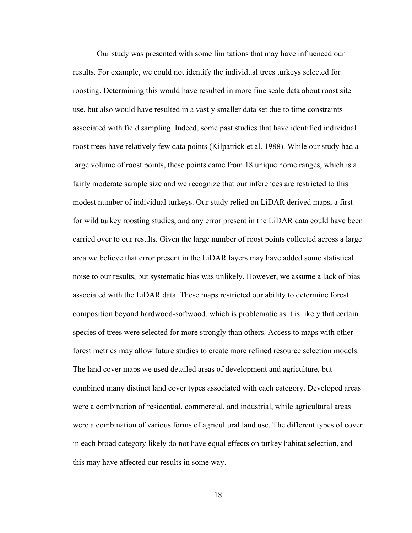Our study was presented with some limitations that may have influenced our results. For example, we could not identify the individual trees turkeys selected for roosting. Determining this would have resulted in more fine scale data about roost site use, but also would have resulted in a vastly smaller data set due to time constraints associated with field sampling. Indeed, some past studies that have identified individual roost trees have relatively few data points (Kilpatrick et al. 1988). While our study had a large volume of roost points, these points came from 18 unique home ranges, which is a fairly moderate sample size and we recognize that our inferences are restricted to this modest number of individual turkeys. Our study relied on LiDAR derived maps, a first for wild turkey roosting studies, and any error present in the LiDAR data could have been carried over to our results. Given the large number of roost points collected across a large area we believe that error present in the LiDAR layers may have added some statistical noise to our results, but systematic bias was unlikely. However, we assume a lack of bias associated with the LiDAR data. These maps restricted our ability to determine forest composition beyond hardwood-softwood, which is problematic as it is likely that certain species of trees were selected for more strongly than others. Access to maps with other forest metrics may allow future studies to create more refined resource selection models. The land cover maps we used detailed areas of development and agriculture, but combined many distinct land cover types associated with each category. Developed areas were a combination of residential, commercial, and industrial, while agricultural areas were a combination of various forms of agricultural land use. The different types of cover in each broad category likely do not have equal effects on turkey habitat selection, and this may have affected our results in some way.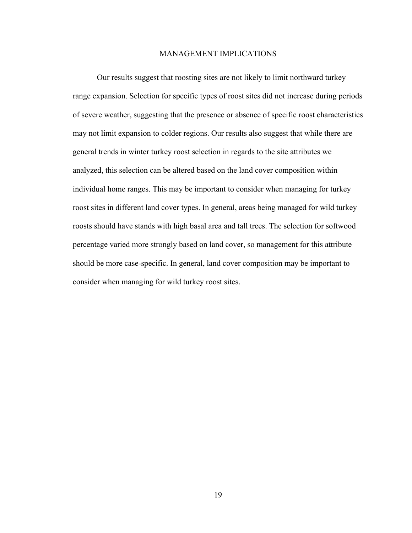#### MANAGEMENT IMPLICATIONS

Our results suggest that roosting sites are not likely to limit northward turkey range expansion. Selection for specific types of roost sites did not increase during periods of severe weather, suggesting that the presence or absence of specific roost characteristics may not limit expansion to colder regions. Our results also suggest that while there are general trends in winter turkey roost selection in regards to the site attributes we analyzed, this selection can be altered based on the land cover composition within individual home ranges. This may be important to consider when managing for turkey roost sites in different land cover types. In general, areas being managed for wild turkey roosts should have stands with high basal area and tall trees. The selection for softwood percentage varied more strongly based on land cover, so management for this attribute should be more case-specific. In general, land cover composition may be important to consider when managing for wild turkey roost sites.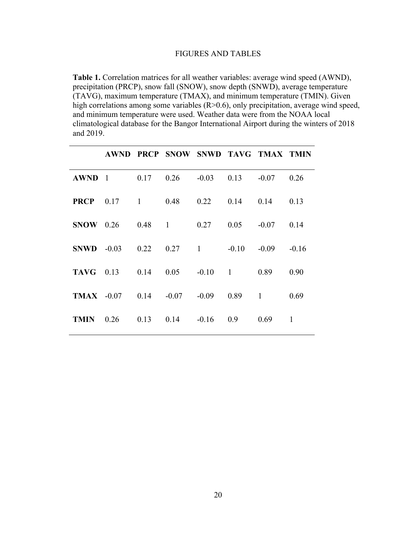## FIGURES AND TABLES

**Table 1.** Correlation matrices for all weather variables: average wind speed (AWND), precipitation (PRCP), snow fall (SNOW), snow depth (SNWD), average temperature (TAVG), maximum temperature (TMAX), and minimum temperature (TMIN). Given high correlations among some variables  $(R>0.6)$ , only precipitation, average wind speed, and minimum temperature were used. Weather data were from the NOAA local climatological database for the Bangor International Airport during the winters of 2018 and 2019.

|              |                                                 | AWND PRCP SNOW SNWD TAVG TMAX TMIN |  |      |         |
|--------------|-------------------------------------------------|------------------------------------|--|------|---------|
|              | <b>AWND</b> 1 0.17 0.26 -0.03 0.13 -0.07 0.26   |                                    |  |      |         |
|              | <b>PRCP</b> 0.17 1 0.48 0.22 0.14 0.14 0.13     |                                    |  |      |         |
|              | <b>SNOW</b> 0.26 0.48 1 0.27 0.05 -0.07 0.14    |                                    |  |      |         |
| $SNWD -0.03$ |                                                 | $0.22$ $0.27$ 1 $-0.10$ $-0.09$    |  |      | $-0.16$ |
|              | <b>TAVG</b> 0.13 0.14 0.05 -0.10 1 0.89         |                                    |  |      | 0.90    |
|              | <b>TMAX</b> $-0.07$ 0.14 $-0.07$ $-0.09$ 0.89 1 |                                    |  |      | 0.69    |
|              | <b>TMIN</b> $0.26$ $0.13$ $0.14$ $-0.16$ $0.9$  |                                    |  | 0.69 | 1       |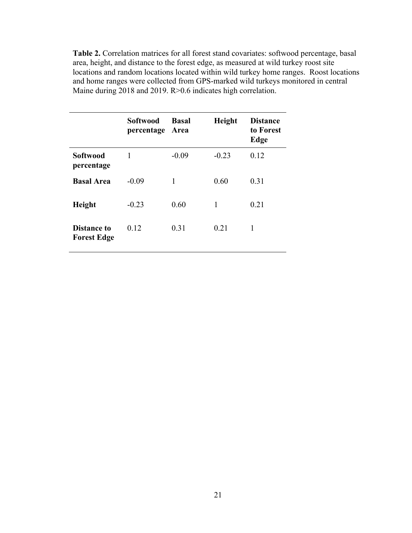**Table 2.** Correlation matrices for all forest stand covariates: softwood percentage, basal area, height, and distance to the forest edge, as measured at wild turkey roost site locations and random locations located within wild turkey home ranges. Roost locations and home ranges were collected from GPS-marked wild turkeys monitored in central Maine during 2018 and 2019. R>0.6 indicates high correlation.

|                                          | <b>Softwood</b><br>percentage | <b>Basal</b><br>Area | Height  | <b>Distance</b><br>to Forest<br>Edge |
|------------------------------------------|-------------------------------|----------------------|---------|--------------------------------------|
| <b>Softwood</b><br>percentage            | 1                             | $-0.09$              | $-0.23$ | 0.12                                 |
| <b>Basal Area</b>                        | $-0.09$                       | 1                    | 0.60    | 0.31                                 |
| <b>Height</b>                            | $-0.23$                       | 0.60                 | 1       | 0.21                                 |
| <b>Distance to</b><br><b>Forest Edge</b> | 0.12                          | 0.31                 | 0.21    | 1                                    |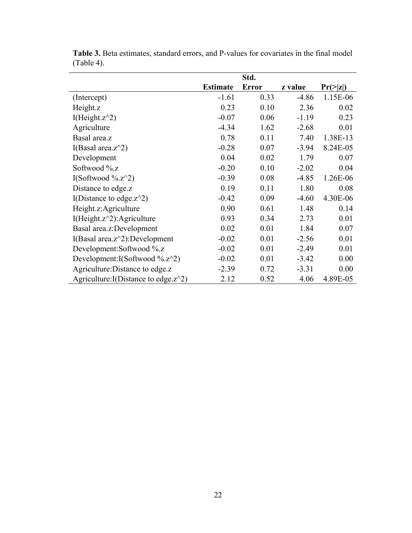|                                          |                 | Std.         |         |             |
|------------------------------------------|-----------------|--------------|---------|-------------|
|                                          | <b>Estimate</b> | <b>Error</b> | z value | $Pr(>= z )$ |
| (Intercept)                              | $-1.61$         | 0.33         | $-4.86$ | 1.15E-06    |
| Height.z                                 | 0.23            | 0.10         | 2.36    | 0.02        |
| I(Height. $z^2$ )                        | $-0.07$         | 0.06         | $-1.19$ | 0.23        |
| Agriculture                              | $-4.34$         | 1.62         | $-2.68$ | 0.01        |
| Basal area.z                             | 0.78            | 0.11         | 7.40    | 1.38E-13    |
| I(Basal area. $z^2$ )                    | $-0.28$         | 0.07         | $-3.94$ | 8.24E-05    |
| Development                              | 0.04            | 0.02         | 1.79    | 0.07        |
| Softwood %.z                             | $-0.20$         | 0.10         | $-2.02$ | 0.04        |
| I(Softwood %.z^2)                        | $-0.39$         | 0.08         | $-4.85$ | 1.26E-06    |
| Distance to edge.z                       | 0.19            | 0.11         | 1.80    | 0.08        |
| I(Distance to edge. $z^2$ )              | $-0.42$         | 0.09         | $-4.60$ | 4.30E-06    |
| Height.z:Agriculture                     | 0.90            | 0.61         | 1.48    | 0.14        |
| I(Height. $z^2$ ): Agriculture           | 0.93            | 0.34         | 2.73    | 0.01        |
| Basal area.z:Development                 | 0.02            | 0.01         | 1.84    | 0.07        |
| I(Basal area. $z^2$ ):Development        | $-0.02$         | 0.01         | $-2.56$ | 0.01        |
| Development:Softwood %.z                 | $-0.02$         | 0.01         | $-2.49$ | 0.01        |
| Development:I(Softwood %.z^2)            | $-0.02$         | 0.01         | $-3.42$ | 0.00        |
| Agriculture: Distance to edge.z          | $-2.39$         | 0.72         | $-3.31$ | 0.00        |
| Agriculture: I(Distance to edge. $z^2$ ) | 2.12            | 0.52         | 4.06    | 4.89E-05    |

**Table 3.** Beta estimates, standard errors, and P-values for covariates in the final model (Table 4).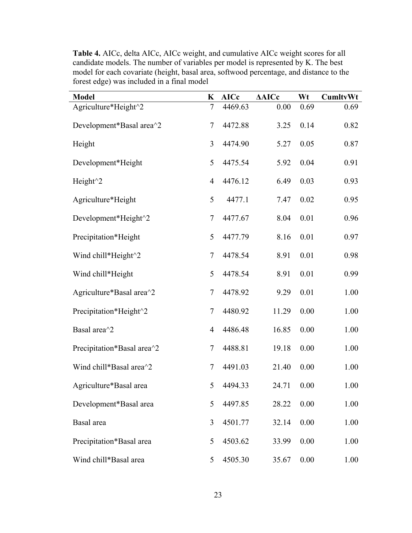| <b>Model</b>               | K              | <b>AICc</b> | <b>AAICc</b> | Wt   | <b>CumltvWt</b> |
|----------------------------|----------------|-------------|--------------|------|-----------------|
| Agriculture*Height^2       | $\tau$         | 4469.63     | 0.00         | 0.69 | 0.69            |
| Development*Basal area^2   | 7              | 4472.88     | 3.25         | 0.14 | 0.82            |
| Height                     | 3              | 4474.90     | 5.27         | 0.05 | 0.87            |
| Development*Height         | 5              | 4475.54     | 5.92         | 0.04 | 0.91            |
| Height <sup>^2</sup>       | $\overline{4}$ | 4476.12     | 6.49         | 0.03 | 0.93            |
| Agriculture*Height         | 5              | 4477.1      | 7.47         | 0.02 | 0.95            |
| Development*Height^2       | 7              | 4477.67     | 8.04         | 0.01 | 0.96            |
| Precipitation*Height       | 5              | 4477.79     | 8.16         | 0.01 | 0.97            |
| Wind chill*Height^2        | 7              | 4478.54     | 8.91         | 0.01 | 0.98            |
| Wind chill*Height          | 5              | 4478.54     | 8.91         | 0.01 | 0.99            |
| Agriculture*Basal area^2   | 7              | 4478.92     | 9.29         | 0.01 | 1.00            |
| Precipitation*Height^2     | 7              | 4480.92     | 11.29        | 0.00 | 1.00            |
| Basal area <sup>^2</sup>   | $\overline{4}$ | 4486.48     | 16.85        | 0.00 | 1.00            |
| Precipitation*Basal area^2 | 7              | 4488.81     | 19.18        | 0.00 | 1.00            |
| Wind chill*Basal area^2    | 7              | 4491.03     | 21.40        | 0.00 | 1.00            |
| Agriculture*Basal area     | 5              | 4494.33     | 24.71        | 0.00 | 1.00            |
| Development*Basal area     | 5              | 4497.85     | 28.22        | 0.00 | 1.00            |
| Basal area                 | 3              | 4501.77     | 32.14        | 0.00 | 1.00            |
| Precipitation*Basal area   | 5              | 4503.62     | 33.99        | 0.00 | 1.00            |
| Wind chill*Basal area      | 5              | 4505.30     | 35.67        | 0.00 | 1.00            |

**Table 4.** AICc, delta AICc, AICc weight, and cumulative AICc weight scores for all candidate models. The number of variables per model is represented by K. The best model for each covariate (height, basal area, softwood percentage, and distance to the forest edge) was included in a final model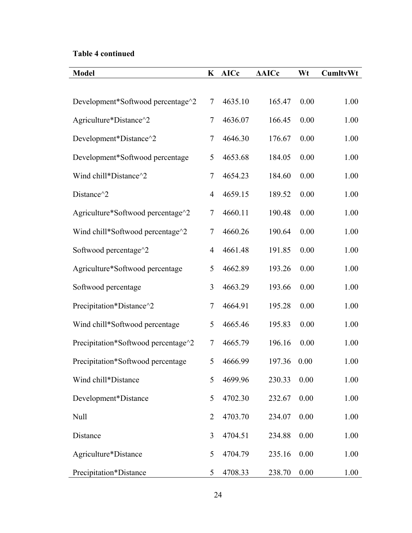# **Table 4 continued**

| <b>Model</b>                        |                | <b>AICc</b> | <b>AAICc</b> | Wt   | CumltvWt |
|-------------------------------------|----------------|-------------|--------------|------|----------|
|                                     |                |             |              |      |          |
| Development*Softwood percentage^2   | $\tau$         | 4635.10     | 165.47       | 0.00 | 1.00     |
| Agriculture*Distance^2              | $\tau$         | 4636.07     | 166.45       | 0.00 | 1.00     |
| Development*Distance^2              | $\tau$         | 4646.30     | 176.67       | 0.00 | 1.00     |
| Development*Softwood percentage     | 5              | 4653.68     | 184.05       | 0.00 | 1.00     |
| Wind chill*Distance^2               | $\tau$         | 4654.23     | 184.60       | 0.00 | 1.00     |
| Distance <sup>^2</sup>              | $\overline{4}$ | 4659.15     | 189.52       | 0.00 | 1.00     |
| Agriculture*Softwood percentage^2   | $\tau$         | 4660.11     | 190.48       | 0.00 | 1.00     |
| Wind chill*Softwood percentage^2    | $\tau$         | 4660.26     | 190.64       | 0.00 | 1.00     |
| Softwood percentage^2               | $\overline{4}$ | 4661.48     | 191.85       | 0.00 | 1.00     |
| Agriculture*Softwood percentage     | 5              | 4662.89     | 193.26       | 0.00 | 1.00     |
| Softwood percentage                 | 3              | 4663.29     | 193.66       | 0.00 | 1.00     |
| Precipitation*Distance^2            | $\tau$         | 4664.91     | 195.28       | 0.00 | 1.00     |
| Wind chill*Softwood percentage      | 5              | 4665.46     | 195.83       | 0.00 | 1.00     |
| Precipitation*Softwood percentage^2 | $\tau$         | 4665.79     | 196.16       | 0.00 | 1.00     |
| Precipitation*Softwood percentage   | 5              | 4666.99     | 197.36       | 0.00 | 1.00     |
| Wind chill*Distance                 | 5              | 4699.96     | 230.33       | 0.00 | 1.00     |
| Development*Distance                | 5              | 4702.30     | 232.67       | 0.00 | 1.00     |
| Null                                | $\overline{2}$ | 4703.70     | 234.07       | 0.00 | 1.00     |
| Distance                            | 3              | 4704.51     | 234.88       | 0.00 | 1.00     |
| Agriculture*Distance                | 5              | 4704.79     | 235.16       | 0.00 | 1.00     |
| Precipitation*Distance              | 5              | 4708.33     | 238.70       | 0.00 | 1.00     |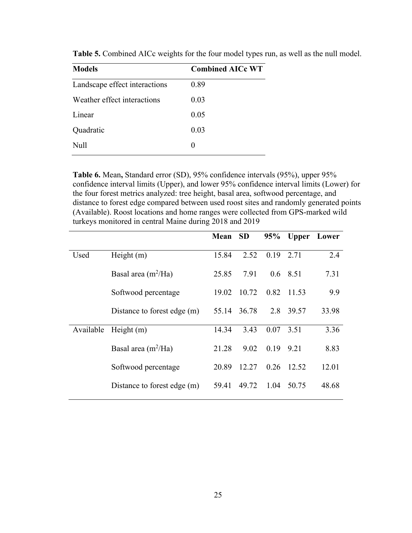| <b>Models</b>                 | <b>Combined AICc WT</b> |
|-------------------------------|-------------------------|
| Landscape effect interactions | 0.89                    |
| Weather effect interactions   | 0.03                    |
| Linear                        | 0.05                    |
| Quadratic                     | 0.03                    |
| Null                          | 0                       |

**Table 5.** Combined AICc weights for the four model types run, as well as the null model.

**Table 6.** Mean**,** Standard error (SD), 95% confidence intervals (95%), upper 95% confidence interval limits (Upper), and lower 95% confidence interval limits (Lower) for the four forest metrics analyzed: tree height, basal area, softwood percentage, and distance to forest edge compared between used roost sites and randomly generated points (Available). Roost locations and home ranges were collected from GPS-marked wild turkeys monitored in central Maine during 2018 and 2019

|           |                             | Mean  | <b>SD</b> | 95%  | <b>Upper</b> | Lower |
|-----------|-----------------------------|-------|-----------|------|--------------|-------|
| Used      | Height $(m)$                | 15.84 | 2.52      | 0.19 | 2.71         | 2.4   |
|           | Basal area $(m^2/Ha)$       | 25.85 | 7.91      | 0.6  | 8.51         | 7.31  |
|           | Softwood percentage         | 19.02 | 10.72     | 0.82 | 11.53        | 9.9   |
|           | Distance to forest edge (m) | 55.14 | 36.78     | 2.8  | 39.57        | 33.98 |
| Available | Height $(m)$                | 14.34 | 3.43      | 0.07 | 3.51         | 3.36  |
|           | Basal area $(m^2/Ha)$       | 21.28 | 9.02      | 0.19 | 9.21         | 8.83  |
|           | Softwood percentage         | 20.89 | 12.27     | 0.26 | 12.52        | 12.01 |
|           | Distance to forest edge (m) | 59.41 | 49.72     | 1.04 | 50.75        | 48.68 |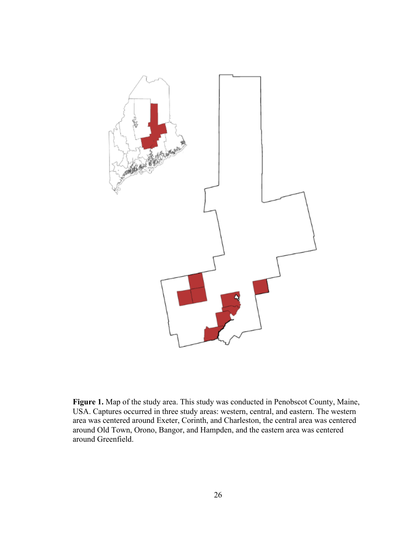

**Figure 1.** Map of the study area. This study was conducted in Penobscot County, Maine, USA. Captures occurred in three study areas: western, central, and eastern. The western area was centered around Exeter, Corinth, and Charleston, the central area was centered around Old Town, Orono, Bangor, and Hampden, and the eastern area was centered around Greenfield.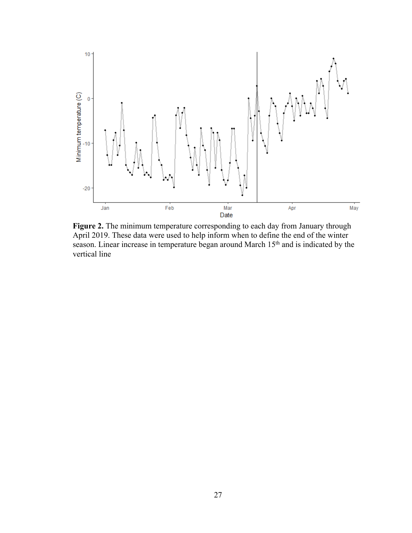

Figure 2. The minimum temperature corresponding to each day from January through April 2019. These data were used to help inform when to define the end of the winter season. Linear increase in temperature began around March 15<sup>th</sup> and is indicated by the vertical line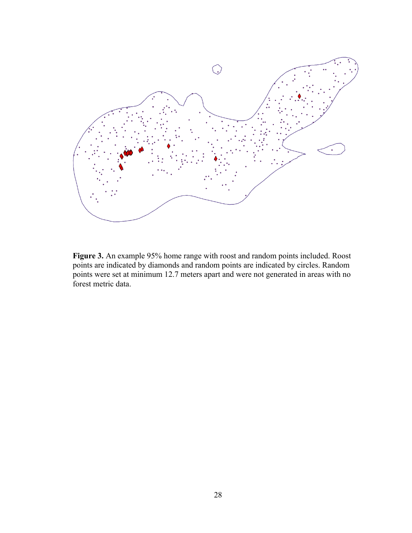

**Figure 3.** An example 95% home range with roost and random points included. Roost points are indicated by diamonds and random points are indicated by circles. Random points were set at minimum 12.7 meters apart and were not generated in areas with no forest metric data.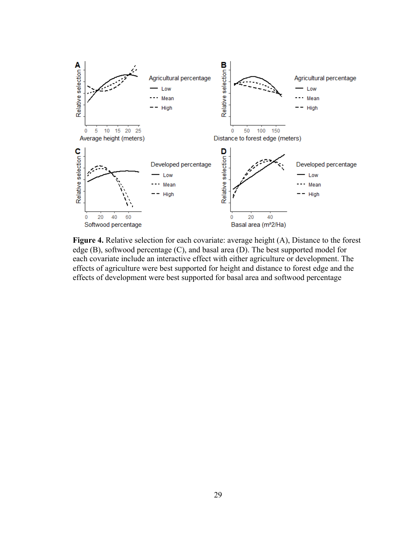

**Figure 4.** Relative selection for each covariate: average height (A), Distance to the forest edge (B), softwood percentage (C), and basal area (D). The best supported model for each covariate include an interactive effect with either agriculture or development. The effects of agriculture were best supported for height and distance to forest edge and the effects of development were best supported for basal area and softwood percentage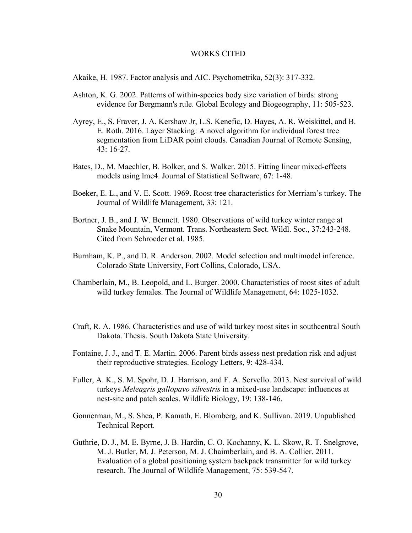#### WORKS CITED

Akaike, H. 1987. Factor analysis and AIC. Psychometrika, 52(3): 317-332.

- Ashton, K. G. 2002. Patterns of within‐species body size variation of birds: strong evidence for Bergmann's rule. Global Ecology and Biogeography, 11: 505-523.
- Ayrey, E., S. Fraver, J. A. Kershaw Jr, L.S. Kenefic, D. Hayes, A. R. Weiskittel, and B. E. Roth. 2016. Layer Stacking: A novel algorithm for individual forest tree segmentation from LiDAR point clouds. Canadian Journal of Remote Sensing, 43: 16-27.
- Bates, D., M. Maechler, B. Bolker, and S. Walker. 2015. Fitting linear mixed-effects models using lme4. Journal of Statistical Software, 67: 1-48.
- Boeker, E. L., and V. E. Scott. 1969. Roost tree characteristics for Merriam's turkey. The Journal of Wildlife Management, 33: 121.
- Bortner, J. B., and J. W. Bennett. 1980. Observations of wild turkey winter range at Snake Mountain, Vermont. Trans. Northeastern Sect. Wildl. Soc., 37:243-248. Cited from Schroeder et al. 1985.
- Burnham, K. P., and D. R. Anderson. 2002. Model selection and multimodel inference. Colorado State University, Fort Collins, Colorado, USA.
- Chamberlain, M., B. Leopold, and L. Burger. 2000. Characteristics of roost sites of adult wild turkey females. The Journal of Wildlife Management, 64: 1025-1032.
- Craft, R. A. 1986. Characteristics and use of wild turkey roost sites in southcentral South Dakota. Thesis. South Dakota State University.
- Fontaine, J. J., and T. E. Martin. 2006. Parent birds assess nest predation risk and adjust their reproductive strategies. Ecology Letters, 9: 428-434.
- Fuller, A. K., S. M. Spohr, D. J. Harrison, and F. A. Servello. 2013. Nest survival of wild turkeys *Meleagris gallopavo silvestris* in a mixed-use landscape: influences at nest-site and patch scales. Wildlife Biology, 19: 138-146.
- Gonnerman, M., S. Shea, P. Kamath, E. Blomberg, and K. Sullivan. 2019. Unpublished Technical Report.
- Guthrie, D. J., M. E. Byrne, J. B. Hardin, C. O. Kochanny, K. L. Skow, R. T. Snelgrove, M. J. Butler, M. J. Peterson, M. J. Chaimberlain, and B. A. Collier. 2011. Evaluation of a global positioning system backpack transmitter for wild turkey research. The Journal of Wildlife Management, 75: 539-547.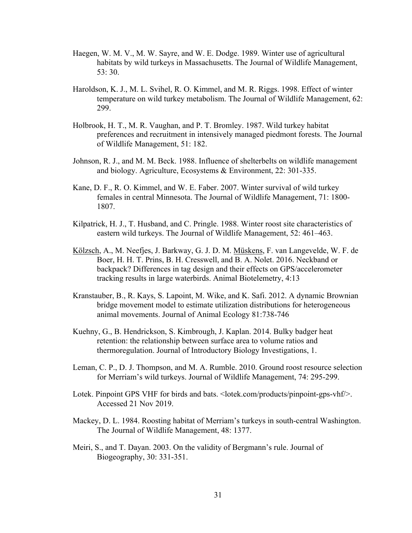- Haegen, W. M. V., M. W. Sayre, and W. E. Dodge. 1989. Winter use of agricultural habitats by wild turkeys in Massachusetts. The Journal of Wildlife Management, 53: 30.
- Haroldson, K. J., M. L. Svihel, R. O. Kimmel, and M. R. Riggs. 1998. Effect of winter temperature on wild turkey metabolism. The Journal of Wildlife Management, 62: 299.
- Holbrook, H. T., M. R. Vaughan, and P. T. Bromley. 1987. Wild turkey habitat preferences and recruitment in intensively managed piedmont forests. The Journal of Wildlife Management, 51: 182.
- Johnson, R. J., and M. M. Beck. 1988. Influence of shelterbelts on wildlife management and biology. Agriculture, Ecosystems & Environment, 22: 301-335.
- Kane, D. F., R. O. Kimmel, and W. E. Faber. 2007. Winter survival of wild turkey females in central Minnesota. The Journal of Wildlife Management, 71: 1800- 1807.
- Kilpatrick, H. J., T. Husband, and C. Pringle. 1988. Winter roost site characteristics of eastern wild turkeys. The Journal of Wildlife Management, 52: 461–463.
- Kölzsch, A., M. Neefjes, J. Barkway, G. J. D. M. Müskens, F. van Langevelde, W. F. de Boer, H. H. T. Prins, B. H. Cresswell, and B. A. Nolet. 2016. Neckband or backpack? Differences in tag design and their effects on GPS/accelerometer tracking results in large waterbirds. Animal Biotelemetry, 4:13
- Kranstauber, B., R. Kays, S. Lapoint, M. Wike, and K. Safi. 2012. A dynamic Brownian bridge movement model to estimate utilization distributions for heterogeneous animal movements. Journal of Animal Ecology 81:738-746
- Kuehny, G., B. Hendrickson, S. Kimbrough, J. Kaplan. 2014. Bulky badger heat retention: the relationship between surface area to volume ratios and thermoregulation. Journal of Introductory Biology Investigations, 1.
- Leman, C. P., D. J. Thompson, and M. A. Rumble. 2010. Ground roost resource selection for Merriam's wild turkeys. Journal of Wildlife Management, 74: 295-299.
- Lotek. Pinpoint GPS VHF for birds and bats. < lotek.com/products/pinpoint-gps-vhf/>. Accessed 21 Nov 2019.
- Mackey, D. L. 1984. Roosting habitat of Merriam's turkeys in south-central Washington. The Journal of Wildlife Management, 48: 1377.
- Meiri, S., and T. Dayan. 2003. On the validity of Bergmann's rule. Journal of Biogeography, 30: 331-351.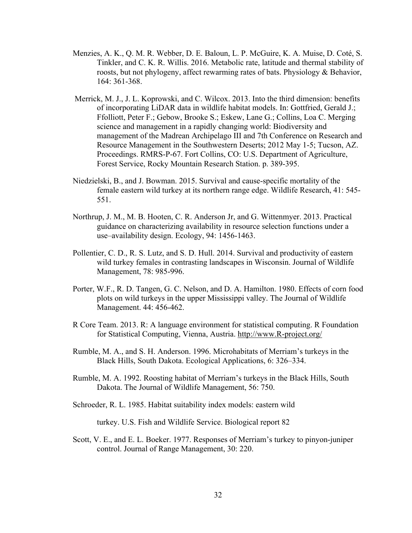- Menzies, A. K., Q. M. R. Webber, D. E. Baloun, L. P. McGuire, K. A. Muise, D. Coté, S. Tinkler, and C. K. R. Willis. 2016. Metabolic rate, latitude and thermal stability of roosts, but not phylogeny, affect rewarming rates of bats. Physiology & Behavior, 164: 361-368.
- Merrick, M. J., J. L. Koprowski, and C. Wilcox. 2013. Into the third dimension: benefits of incorporating LiDAR data in wildlife habitat models. In: Gottfried, Gerald J.; Ffolliott, Peter F.; Gebow, Brooke S.; Eskew, Lane G.; Collins, Loa C. Merging science and management in a rapidly changing world: Biodiversity and management of the Madrean Archipelago III and 7th Conference on Research and Resource Management in the Southwestern Deserts; 2012 May 1-5; Tucson, AZ. Proceedings. RMRS-P-67. Fort Collins, CO: U.S. Department of Agriculture, Forest Service, Rocky Mountain Research Station. p. 389-395.
- Niedzielski, B., and J. Bowman. 2015. Survival and cause-specific mortality of the female eastern wild turkey at its northern range edge. Wildlife Research, 41: 545- 551.
- Northrup, J. M., M. B. Hooten, C. R. Anderson Jr, and G. Wittenmyer. 2013. Practical guidance on characterizing availability in resource selection functions under a use–availability design. Ecology, 94: 1456-1463.
- Pollentier, C. D., R. S. Lutz, and S. D. Hull. 2014. Survival and productivity of eastern wild turkey females in contrasting landscapes in Wisconsin. Journal of Wildlife Management, 78: 985-996.
- Porter, W.F., R. D. Tangen, G. C. Nelson, and D. A. Hamilton. 1980. Effects of corn food plots on wild turkeys in the upper Mississippi valley. The Journal of Wildlife Management. 44: 456-462.
- R Core Team. 2013. R: A language environment for statistical computing. R Foundation for Statistical Computing, Vienna, Austria. http://www.R-project.org/
- Rumble, M. A., and S. H. Anderson. 1996. Microhabitats of Merriam's turkeys in the Black Hills, South Dakota. Ecological Applications, 6: 326–334.
- Rumble, M. A. 1992. Roosting habitat of Merriam's turkeys in the Black Hills, South Dakota. The Journal of Wildlife Management, 56: 750.
- Schroeder, R. L. 1985. Habitat suitability index models: eastern wild

turkey. U.S. Fish and Wildlife Service. Biological report 82

Scott, V. E., and E. L. Boeker. 1977. Responses of Merriam's turkey to pinyon-juniper control. Journal of Range Management, 30: 220.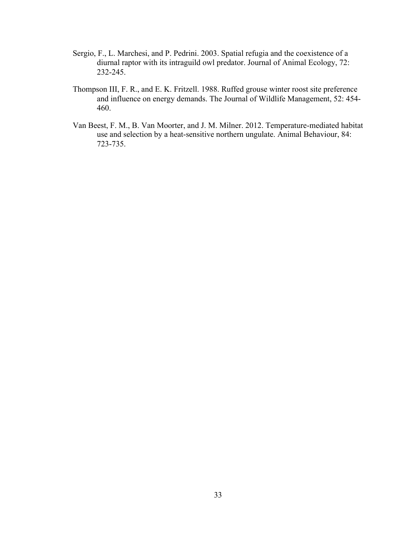- Sergio, F., L. Marchesi, and P. Pedrini. 2003. Spatial refugia and the coexistence of a diurnal raptor with its intraguild owl predator. Journal of Animal Ecology, 72: 232-245.
- Thompson III, F. R., and E. K. Fritzell. 1988. Ruffed grouse winter roost site preference and influence on energy demands. The Journal of Wildlife Management, 52: 454- 460.
- Van Beest, F. M., B. Van Moorter, and J. M. Milner. 2012. Temperature-mediated habitat use and selection by a heat-sensitive northern ungulate. Animal Behaviour, 84: 723-735.